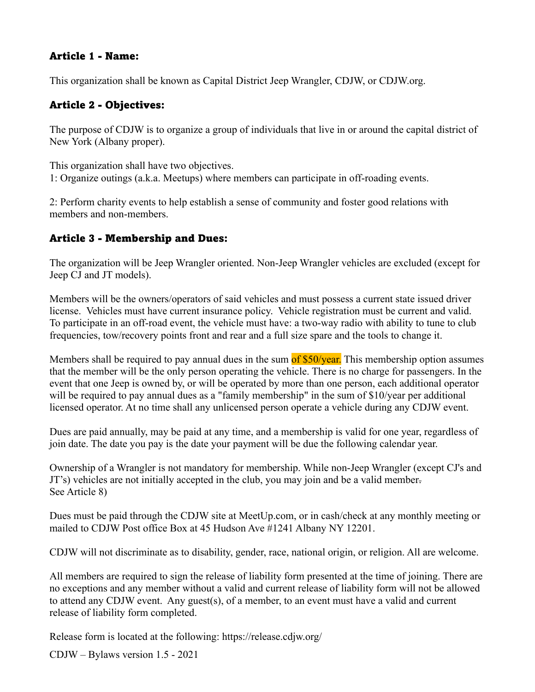## Article 1 - Name:

This organization shall be known as Capital District Jeep Wrangler, CDJW, or CDJW.org.

## Article 2 - Objectives:

The purpose of CDJW is to organize a group of individuals that live in or around the capital district of New York (Albany proper).

This organization shall have two objectives. 1: Organize outings (a.k.a. Meetups) where members can participate in off-roading events.

2: Perform charity events to help establish a sense of community and foster good relations with members and non-members.

## Article 3 - Membership and Dues:

The organization will be Jeep Wrangler oriented. Non-Jeep Wrangler vehicles are excluded (except for Jeep CJ and JT models).

Members will be the owners/operators of said vehicles and must possess a current state issued driver license. Vehicles must have current insurance policy. Vehicle registration must be current and valid. To participate in an off-road event, the vehicle must have: a two-way radio with ability to tune to club frequencies, tow/recovery points front and rear and a full size spare and the tools to change it.

Members shall be required to pay annual dues in the sum of \$50/year. This membership option assumes that the member will be the only person operating the vehicle. There is no charge for passengers. In the event that one Jeep is owned by, or will be operated by more than one person, each additional operator will be required to pay annual dues as a "family membership" in the sum of \$10/year per additional licensed operator. At no time shall any unlicensed person operate a vehicle during any CDJW event.

Dues are paid annually, may be paid at any time, and a membership is valid for one year, regardless of join date. The date you pay is the date your payment will be due the following calendar year.

Ownership of a Wrangler is not mandatory for membership. While non-Jeep Wrangler (except CJ's and JT's) vehicles are not initially accepted in the club, you may join and be a valid member. See Article 8)

Dues must be paid through the CDJW site at MeetUp.com, or in cash/check at any monthly meeting or mailed to CDJW Post office Box at 45 Hudson Ave #1241 Albany NY 12201.

CDJW will not discriminate as to disability, gender, race, national origin, or religion. All are welcome.

All members are required to sign the release of liability form presented at the time of joining. There are no exceptions and any member without a valid and current release of liability form will not be allowed to attend any CDJW event. Any guest(s), of a member, to an event must have a valid and current release of liability form completed.

Release form is located at the following: https://release.cdjw.org/

CDJW – Bylaws version 1.5 - 2021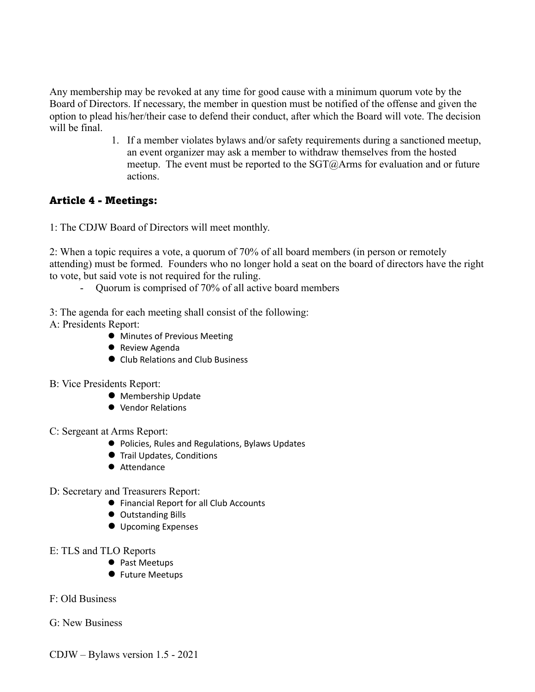Any membership may be revoked at any time for good cause with a minimum quorum vote by the Board of Directors. If necessary, the member in question must be notified of the offense and given the option to plead his/her/their case to defend their conduct, after which the Board will vote. The decision will be final.

> 1. If a member violates bylaws and/or safety requirements during a sanctioned meetup, an event organizer may ask a member to withdraw themselves from the hosted meetup. The event must be reported to the SGT@Arms for evaluation and or future actions.

## Article 4 - Meetings:

1: The CDJW Board of Directors will meet monthly.

2: When a topic requires a vote, a quorum of 70% of all board members (in person or remotely attending) must be formed. Founders who no longer hold a seat on the board of directors have the right to vote, but said vote is not required for the ruling.

- Quorum is comprised of 70% of all active board members
- 3: The agenda for each meeting shall consist of the following:
- A: Presidents Report:
	- **•** Minutes of Previous Meeting
	- **•** Review Agenda
	- Club Relations and Club Business
- B: Vice Presidents Report:
	- **Membership Update**
	- Vendor Relations
- C: Sergeant at Arms Report:
	- Policies, Rules and Regulations, Bylaws Updates
	- **Trail Updates, Conditions**
	- Attendance
- D: Secretary and Treasurers Report:
	- **•** Financial Report for all Club Accounts
	- **Outstanding Bills**
	- **Upcoming Expenses**
- E: TLS and TLO Reports
	- Past Meetups
	- **•** Future Meetups
- F: Old Business
- G: New Business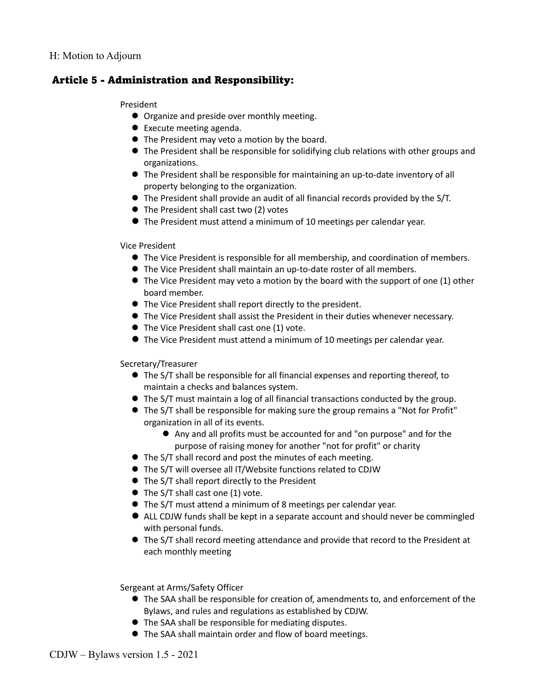### Article 5 - Administration and Responsibility:

#### President

- **•** Organize and preside over monthly meeting.
- $\bullet$  Execute meeting agenda.
- The President may veto a motion by the board.
- The President shall be responsible for solidifying club relations with other groups and organizations.
- l The President shall be responsible for maintaining an up-to-date inventory of all property belonging to the organization.
- l The President shall provide an audit of all financial records provided by the S/T.
- $\bullet$  The President shall cast two (2) votes
- l The President must attend a minimum of 10 meetings per calendar year.

#### Vice President

- l The Vice President is responsible for all membership, and coordination of members.
- l The Vice President shall maintain an up-to-date roster of all members.
- $\bullet$  The Vice President may veto a motion by the board with the support of one (1) other board member.
- The Vice President shall report directly to the president.
- **The Vice President shall assist the President in their duties whenever necessary.**
- $\bullet$  The Vice President shall cast one (1) vote.
- **The Vice President must attend a minimum of 10 meetings per calendar year.**

#### Secretary/Treasurer

- **The S/T shall be responsible for all financial expenses and reporting thereof, to** maintain a checks and balances system.
- $\bullet$  The S/T must maintain a log of all financial transactions conducted by the group.
- l The S/T shall be responsible for making sure the group remains a "Not for Profit" organization in all of its events.
	- l Any and all profits must be accounted for and "on purpose" and for the purpose of raising money for another "not for profit" or charity
- The S/T shall record and post the minutes of each meeting.
- The S/T will oversee all IT/Website functions related to CDJW
- $\bullet$  The S/T shall report directly to the President
- $\bullet$  The S/T shall cast one (1) vote.
- l The S/T must attend a minimum of 8 meetings per calendar year.
- l ALL CDJW funds shall be kept in a separate account and should never be commingled with personal funds.
- **The S/T shall record meeting attendance and provide that record to the President at** each monthly meeting

Sergeant at Arms/Safety Officer

- $\bullet$  The SAA shall be responsible for creation of, amendments to, and enforcement of the Bylaws, and rules and regulations as established by CDJW.
- The SAA shall be responsible for mediating disputes.
- **The SAA shall maintain order and flow of board meetings.**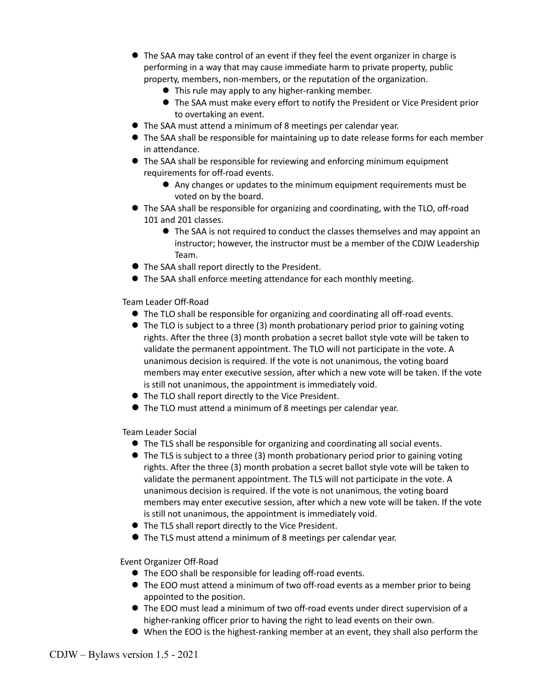- **The SAA may take control of an event if they feel the event organizer in charge is** performing in a way that may cause immediate harm to private property, public property, members, non-members, or the reputation of the organization.
	- **This rule may apply to any higher-ranking member.**
	- l The SAA must make every effort to notify the President or Vice President prior to overtaking an event.
- $\bullet$  The SAA must attend a minimum of 8 meetings per calendar year.
- **•** The SAA shall be responsible for maintaining up to date release forms for each member in attendance.
- **•** The SAA shall be responsible for reviewing and enforcing minimum equipment requirements for off-road events.
	- l Any changes or updates to the minimum equipment requirements must be voted on by the board.
- **The SAA shall be responsible for organizing and coordinating, with the TLO, off-road** 101 and 201 classes.
	- $\bullet$  The SAA is not required to conduct the classes themselves and may appoint an instructor; however, the instructor must be a member of the CDJW Leadership Team.
- The SAA shall report directly to the President.
- l The SAA shall enforce meeting attendance for each monthly meeting.

Team Leader Off-Road

- **The TLO shall be responsible for organizing and coordinating all off-road events.**
- The TLO is subject to a three (3) month probationary period prior to gaining voting rights. After the three (3) month probation a secret ballot style vote will be taken to validate the permanent appointment. The TLO will not participate in the vote. A unanimous decision is required. If the vote is not unanimous, the voting board members may enter executive session, after which a new vote will be taken. If the vote is still not unanimous, the appointment is immediately void.
- The TLO shall report directly to the Vice President.
- **The TLO must attend a minimum of 8 meetings per calendar year.**

Team Leader Social

- **The TLS shall be responsible for organizing and coordinating all social events.**
- The TLS is subject to a three (3) month probationary period prior to gaining voting rights. After the three (3) month probation a secret ballot style vote will be taken to validate the permanent appointment. The TLS will not participate in the vote. A unanimous decision is required. If the vote is not unanimous, the voting board members may enter executive session, after which a new vote will be taken. If the vote is still not unanimous, the appointment is immediately void.
- The TLS shall report directly to the Vice President.
- l The TLS must attend a minimum of 8 meetings per calendar year.

Event Organizer Off-Road

- The EOO shall be responsible for leading off-road events.
- **The EOO must attend a minimum of two off-road events as a member prior to being** appointed to the position.
- l The EOO must lead a minimum of two off-road events under direct supervision of a higher-ranking officer prior to having the right to lead events on their own.
- $\bullet$  When the EOO is the highest-ranking member at an event, they shall also perform the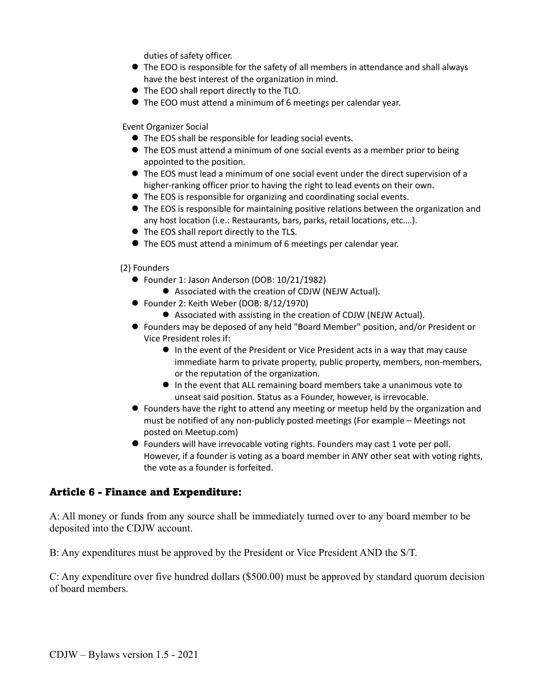duties of safety officer.

- $\bullet$  The EOO is responsible for the safety of all members in attendance and shall always have the best interest of the organization in mind.
- The EOO shall report directly to the TLO.
- l The EOO must attend a minimum of 6 meetings per calendar year.

Event Organizer Social

- $\bullet$  The EOS shall be responsible for leading social events.
- The EOS must attend a minimum of one social events as a member prior to being appointed to the position.
- l The EOS must lead a minimum of one social event under the direct supervision of a higher-ranking officer prior to having the right to lead events on their own.
- $\bullet$  The EOS is responsible for organizing and coordinating social events.
- **•** The EOS is responsible for maintaining positive relations between the organization and any host location (i.e.: Restaurants, bars, parks, retail locations, etc.…).
- $\bullet$  The EOS shall report directly to the TLS.
- l The EOS must attend a minimum of 6 meetings per calendar year.

#### (2) Founders

- Founder 1: Jason Anderson (DOB: 10/21/1982)
	- Associated with the creation of CDJW (NEJW Actual).
- Founder 2: Keith Weber (DOB: 8/12/1970)
	- Associated with assisting in the creation of CDJW (NEJW Actual).
- l Founders may be deposed of any held "Board Member" position, and/or President or Vice President roles if:
	- In the event of the President or Vice President acts in a way that may cause immediate harm to private property, public property, members, non-members, or the reputation of the organization.
	- In the event that ALL remaining board members take a unanimous vote to unseat said position. Status as a Founder, however, is irrevocable.
- l Founders have the right to attend any meeting or meetup held by the organization and must be notified of any non-publicly posted meetings (For example – Meetings not posted on Meetup.com)
- l Founders will have irrevocable voting rights. Founders may cast 1 vote per poll. However, if a founder is voting as a board member in ANY other seat with voting rights, the vote as a founder is forfeited.

### Article 6 - Finance and Expenditure:

A: All money or funds from any source shall be immediately turned over to any board member to be deposited into the CDJW account.

B: Any expenditures must be approved by the President or Vice President AND the S/T.

C: Any expenditure over five hundred dollars (\$500.00) must be approved by standard quorum decision of board members.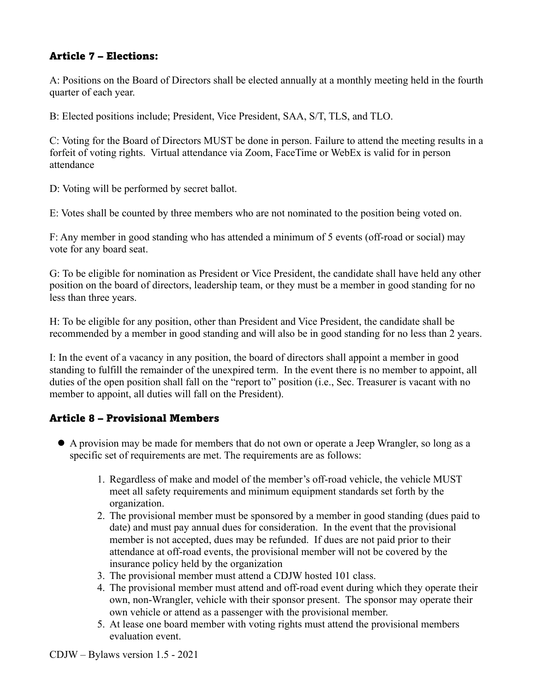## Article 7 – Elections:

A: Positions on the Board of Directors shall be elected annually at a monthly meeting held in the fourth quarter of each year.

B: Elected positions include; President, Vice President, SAA, S/T, TLS, and TLO.

C: Voting for the Board of Directors MUST be done in person. Failure to attend the meeting results in a forfeit of voting rights. Virtual attendance via Zoom, FaceTime or WebEx is valid for in person attendance

D: Voting will be performed by secret ballot.

E: Votes shall be counted by three members who are not nominated to the position being voted on.

F: Any member in good standing who has attended a minimum of 5 events (off-road or social) may vote for any board seat.

G: To be eligible for nomination as President or Vice President, the candidate shall have held any other position on the board of directors, leadership team, or they must be a member in good standing for no less than three years.

H: To be eligible for any position, other than President and Vice President, the candidate shall be recommended by a member in good standing and will also be in good standing for no less than 2 years.

I: In the event of a vacancy in any position, the board of directors shall appoint a member in good standing to fulfill the remainder of the unexpired term. In the event there is no member to appoint, all duties of the open position shall fall on the "report to" position (i.e., Sec. Treasurer is vacant with no member to appoint, all duties will fall on the President).

# Article 8 – Provisional Members

- l A provision may be made for members that do not own or operate a Jeep Wrangler, so long as a specific set of requirements are met. The requirements are as follows:
	- 1. Regardless of make and model of the member's off-road vehicle, the vehicle MUST meet all safety requirements and minimum equipment standards set forth by the organization.
	- 2. The provisional member must be sponsored by a member in good standing (dues paid to date) and must pay annual dues for consideration. In the event that the provisional member is not accepted, dues may be refunded. If dues are not paid prior to their attendance at off-road events, the provisional member will not be covered by the insurance policy held by the organization
	- 3. The provisional member must attend a CDJW hosted 101 class.
	- 4. The provisional member must attend and off-road event during which they operate their own, non-Wrangler, vehicle with their sponsor present. The sponsor may operate their own vehicle or attend as a passenger with the provisional member.
	- 5. At lease one board member with voting rights must attend the provisional members evaluation event.